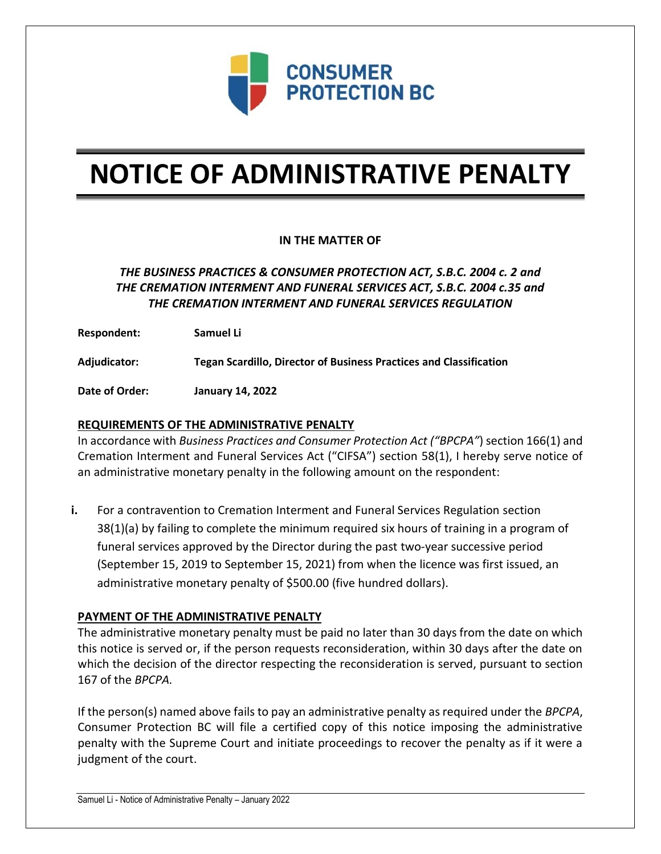

# **NOTICE OF ADMINISTRATIVE PENALTY**

## **IN THE MATTER OF**

# *THE BUSINESS PRACTICES & CONSUMER PROTECTION ACT, S.B.C. 2004 c. 2 and THE CREMATION INTERMENT AND FUNERAL SERVICES ACT, S.B.C. 2004 c.35 and THE CREMATION INTERMENT AND FUNERAL SERVICES REGULATION*

**Respondent: Samuel Li**

**Adjudicator: Tegan Scardillo, Director of Business Practices and Classification**

**Date of Order: January 14, 2022**

### **REQUIREMENTS OF THE ADMINISTRATIVE PENALTY**

In accordance with *Business Practices and Consumer Protection Act ("BPCPA"*) section 166(1) and Cremation Interment and Funeral Services Act ("CIFSA") section 58(1), I hereby serve notice of an administrative monetary penalty in the following amount on the respondent:

**i.** For a contravention to Cremation Interment and Funeral Services Regulation section 38(1)(a) by failing to complete the minimum required six hours of training in a program of funeral services approved by the Director during the past two-year successive period (September 15, 2019 to September 15, 2021) from when the licence was first issued, an administrative monetary penalty of \$500.00 (five hundred dollars).

#### **PAYMENT OF THE ADMINISTRATIVE PENALTY**

The administrative monetary penalty must be paid no later than 30 days from the date on which this notice is served or, if the person requests reconsideration, within 30 days after the date on which the decision of the director respecting the reconsideration is served, pursuant to section 167 of the *BPCPA.* 

If the person(s) named above fails to pay an administrative penalty as required under the *BPCPA*, Consumer Protection BC will file a certified copy of this notice imposing the administrative penalty with the Supreme Court and initiate proceedings to recover the penalty as if it were a judgment of the court.